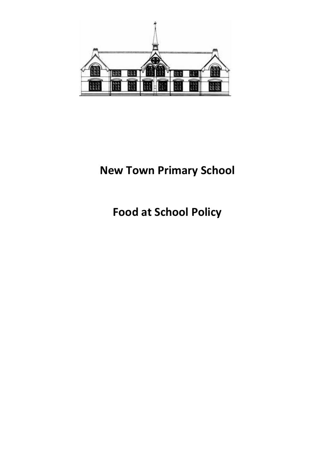

# **New Town Primary School**

**Food at School Policy**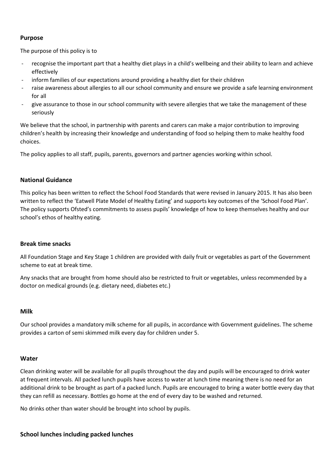# **Purpose**

The purpose of this policy is to

- recognise the important part that a healthy diet plays in a child's wellbeing and their ability to learn and achieve effectively
- inform families of our expectations around providing a healthy diet for their children
- raise awareness about allergies to all our school community and ensure we provide a safe learning environment for all
- give assurance to those in our school community with severe allergies that we take the management of these seriously

We believe that the school, in partnership with parents and carers can make a major contribution to improving children's health by increasing their knowledge and understanding of food so helping them to make healthy food choices.

The policy applies to all staff, pupils, parents, governors and partner agencies working within school.

## **National Guidance**

This policy has been written to reflect the School Food Standards that were revised in January 2015. It has also been written to reflect the 'Eatwell Plate Model of Healthy Eating' and supports key outcomes of the 'School Food Plan'. The policy supports Ofsted's commitments to assess pupils' knowledge of how to keep themselves healthy and our school's ethos of healthy eating.

## **Break time snacks**

All Foundation Stage and Key Stage 1 children are provided with daily fruit or vegetables as part of the Government scheme to eat at break time.

Any snacks that are brought from home should also be restricted to fruit or vegetables, unless recommended by a doctor on medical grounds (e.g. dietary need, diabetes etc.)

## **Milk**

Our school provides a mandatory milk scheme for all pupils, in accordance with Government guidelines. The scheme provides a carton of semi skimmed milk every day for children under 5.

## **Water**

Clean drinking water will be available for all pupils throughout the day and pupils will be encouraged to drink water at frequent intervals. All packed lunch pupils have access to water at lunch time meaning there is no need for an additional drink to be brought as part of a packed lunch. Pupils are encouraged to bring a water bottle every day that they can refill as necessary. Bottles go home at the end of every day to be washed and returned.

No drinks other than water should be brought into school by pupils.

## **School lunches including packed lunches**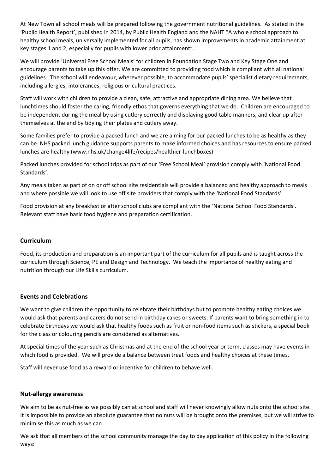At New Town all school meals will be prepared following the government nutritional guidelines. As stated in the 'Public Health Report', published in 2014, by Public Health England and the NAHT "A whole school approach to healthy school meals, universally implemented for all pupils, has shown improvements in academic attainment at key stages 1 and 2, especially for pupils with lower prior attainment".

We will provide 'Universal Free School Meals' for children in Foundation Stage Two and Key Stage One and encourage parents to take up this offer. We are committed to providing food which is compliant with all national guidelines. The school will endeavour, wherever possible, to accommodate pupils' specialist dietary requirements, including allergies, intolerances, religious or cultural practices.

Staff will work with children to provide a clean, safe, attractive and appropriate dining area. We believe that lunchtimes should foster the caring, friendly ethos that governs everything that we do. Children are encouraged to be independent during the meal by using cutlery correctly and displaying good table manners, and clear up after themselves at the end by tidying their plates and cutlery away.

Some families prefer to provide a packed lunch and we are aiming for our packed lunches to be as healthy as they can be. NHS packed lunch guidance supports parents to make informed choices and has resources to ensure packed lunches are healthy (www.nhs.uk/change4life/recipes/healthier-lunchboxes)

Packed lunches provided for school trips as part of our 'Free School Meal' provision comply with 'National Food Standards'.

Any meals taken as part of on or off school site residentials will provide a balanced and healthy approach to meals and where possible we will look to use off site providers that comply with the 'National Food Standards'.

Food provision at any breakfast or after school clubs are compliant with the 'National School Food Standards'. Relevant staff have basic food hygiene and preparation certification.

# **Curriculum**

Food, its production and preparation is an important part of the curriculum for all pupils and is taught across the curriculum through Science, PE and Design and Technology. We teach the importance of healthy eating and nutrition through our Life Skills curriculum.

# **Events and Celebrations**

We want to give children the opportunity to celebrate their birthdays but to promote healthy eating choices we would ask that parents and carers do not send in birthday cakes or sweets. If parents want to bring something in to celebrate birthdays we would ask that healthy foods such as fruit or non-food items such as stickers, a special book for the class or colouring pencils are considered as alternatives.

At special times of the year such as Christmas and at the end of the school year or term, classes may have events in which food is provided. We will provide a balance between treat foods and healthy choices at these times.

Staff will never use food as a reward or incentive for children to behave well.

## **Nut-allergy awareness**

We aim to be as nut-free as we possibly can at school and staff will never knowingly allow nuts onto the school site. It is impossible to provide an absolute guarantee that no nuts will be brought onto the premises, but we will strive to minimise this as much as we can.

We ask that all members of the school community manage the day to day application of this policy in the following ways: